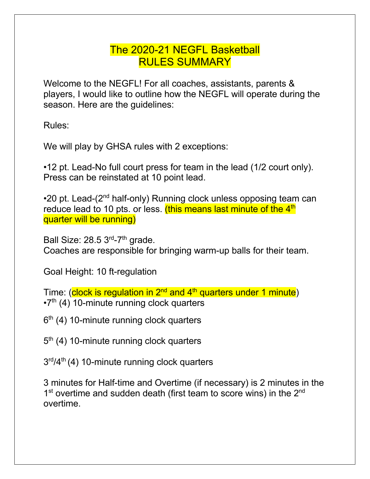## The 2020-21 NEGFL Basketball RULES SUMMARY

Welcome to the NEGFL! For all coaches, assistants, parents & players, I would like to outline how the NEGFL will operate during the season. Here are the guidelines:

Rules:

We will play by GHSA rules with 2 exceptions:

•12 pt. Lead-No full court press for team in the lead (1/2 court only). Press can be reinstated at 10 point lead.

 $\cdot$ 20 pt. Lead-(2<sup>nd</sup> half-only) Running clock unless opposing team can reduce lead to 10 pts. or less. (this means last minute of the 4<sup>th</sup> quarter will be running)

Ball Size:  $28.5$   $3<sup>rd</sup>$ -7<sup>th</sup> grade. Coaches are responsible for bringing warm-up balls for their team.

Goal Height: 10 ft-regulation

Time: (clock is regulation in 2<sup>nd</sup> and 4<sup>th</sup> quarters under 1 minute)  $\cdot$ 7<sup>th</sup> (4) 10-minute running clock quarters

 $6<sup>th</sup>$  (4) 10-minute running clock quarters

5<sup>th</sup> (4) 10-minute running clock quarters

 $3<sup>rd</sup>/4<sup>th</sup>$  (4) 10-minute running clock quarters

3 minutes for Half-time and Overtime (if necessary) is 2 minutes in the  $1<sup>st</sup>$  overtime and sudden death (first team to score wins) in the  $2<sup>nd</sup>$ overtime.